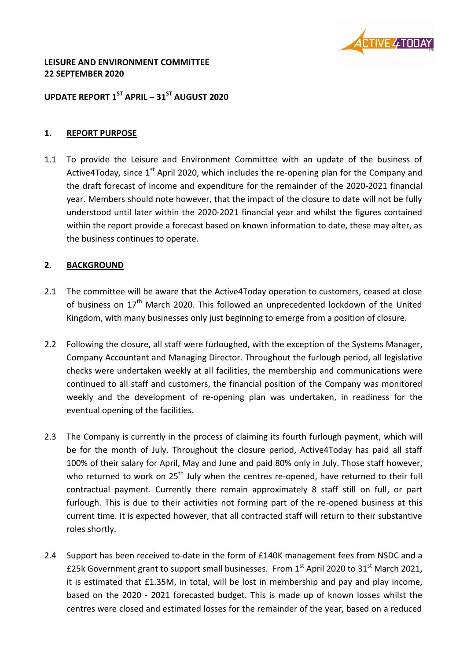

#### **LEISURE AND ENVIRONMENT COMMITTEE 22 SEPTEMBER 2020**

# **UPDATE REPORT 1 ST APRIL – 31ST AUGUST 2020**

#### **1. REPORT PURPOSE**

1.1 To provide the Leisure and Environment Committee with an update of the business of Active4Today, since  $1<sup>st</sup>$  April 2020, which includes the re-opening plan for the Company and the draft forecast of income and expenditure for the remainder of the 2020-2021 financial year. Members should note however, that the impact of the closure to date will not be fully understood until later within the 2020-2021 financial year and whilst the figures contained within the report provide a forecast based on known information to date, these may alter, as the business continues to operate.

### **2. BACKGROUND**

- 2.1 The committee will be aware that the Active4Today operation to customers, ceased at close of business on  $17<sup>th</sup>$  March 2020. This followed an unprecedented lockdown of the United Kingdom, with many businesses only just beginning to emerge from a position of closure.
- 2.2 Following the closure, all staff were furloughed, with the exception of the Systems Manager, Company Accountant and Managing Director. Throughout the furlough period, all legislative checks were undertaken weekly at all facilities, the membership and communications were continued to all staff and customers, the financial position of the Company was monitored weekly and the development of re-opening plan was undertaken, in readiness for the eventual opening of the facilities.
- 2.3 The Company is currently in the process of claiming its fourth furlough payment, which will be for the month of July. Throughout the closure period, Active4Today has paid all staff 100% of their salary for April, May and June and paid 80% only in July. Those staff however, who returned to work on  $25<sup>th</sup>$  July when the centres re-opened, have returned to their full contractual payment. Currently there remain approximately 8 staff still on full, or part furlough. This is due to their activities not forming part of the re-opened business at this current time. It is expected however, that all contracted staff will return to their substantive roles shortly.
- 2.4 Support has been received to-date in the form of £140K management fees from NSDC and a £25k Government grant to support small businesses. From  $1<sup>st</sup>$  April 2020 to 31<sup>st</sup> March 2021, it is estimated that £1.35M, in total, will be lost in membership and pay and play income, based on the 2020 - 2021 forecasted budget. This is made up of known losses whilst the centres were closed and estimated losses for the remainder of the year, based on a reduced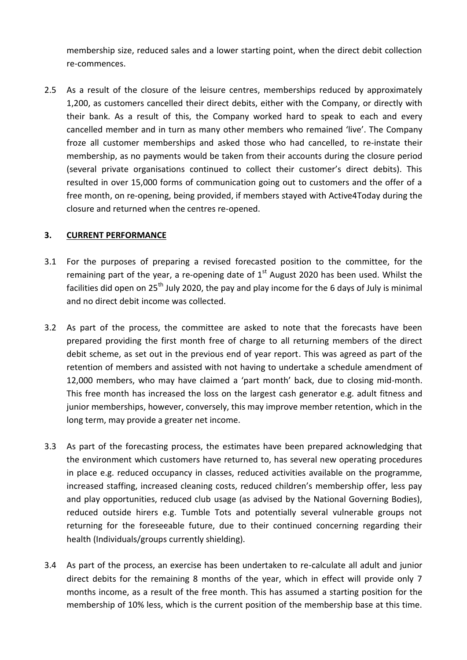membership size, reduced sales and a lower starting point, when the direct debit collection re-commences.

2.5 As a result of the closure of the leisure centres, memberships reduced by approximately 1,200, as customers cancelled their direct debits, either with the Company, or directly with their bank. As a result of this, the Company worked hard to speak to each and every cancelled member and in turn as many other members who remained 'live'. The Company froze all customer memberships and asked those who had cancelled, to re-instate their membership, as no payments would be taken from their accounts during the closure period (several private organisations continued to collect their customer's direct debits). This resulted in over 15,000 forms of communication going out to customers and the offer of a free month, on re-opening, being provided, if members stayed with Active4Today during the closure and returned when the centres re-opened.

### **3. CURRENT PERFORMANCE**

- 3.1 For the purposes of preparing a revised forecasted position to the committee, for the remaining part of the year, a re-opening date of  $1<sup>st</sup>$  August 2020 has been used. Whilst the facilities did open on 25<sup>th</sup> July 2020, the pay and play income for the 6 days of July is minimal and no direct debit income was collected.
- 3.2 As part of the process, the committee are asked to note that the forecasts have been prepared providing the first month free of charge to all returning members of the direct debit scheme, as set out in the previous end of year report. This was agreed as part of the retention of members and assisted with not having to undertake a schedule amendment of 12,000 members, who may have claimed a 'part month' back, due to closing mid-month. This free month has increased the loss on the largest cash generator e.g. adult fitness and junior memberships, however, conversely, this may improve member retention, which in the long term, may provide a greater net income.
- 3.3 As part of the forecasting process, the estimates have been prepared acknowledging that the environment which customers have returned to, has several new operating procedures in place e.g. reduced occupancy in classes, reduced activities available on the programme, increased staffing, increased cleaning costs, reduced children's membership offer, less pay and play opportunities, reduced club usage (as advised by the National Governing Bodies), reduced outside hirers e.g. Tumble Tots and potentially several vulnerable groups not returning for the foreseeable future, due to their continued concerning regarding their health (Individuals/groups currently shielding).
- 3.4 As part of the process, an exercise has been undertaken to re-calculate all adult and junior direct debits for the remaining 8 months of the year, which in effect will provide only 7 months income, as a result of the free month. This has assumed a starting position for the membership of 10% less, which is the current position of the membership base at this time.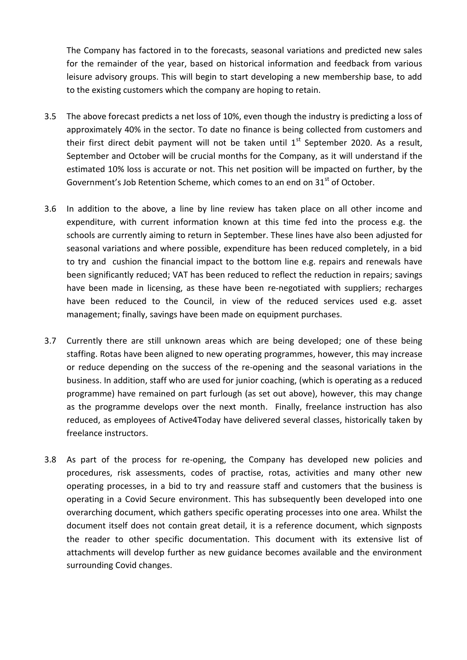The Company has factored in to the forecasts, seasonal variations and predicted new sales for the remainder of the year, based on historical information and feedback from various leisure advisory groups. This will begin to start developing a new membership base, to add to the existing customers which the company are hoping to retain.

- 3.5 The above forecast predicts a net loss of 10%, even though the industry is predicting a loss of approximately 40% in the sector. To date no finance is being collected from customers and their first direct debit payment will not be taken until  $1<sup>st</sup>$  September 2020. As a result, September and October will be crucial months for the Company, as it will understand if the estimated 10% loss is accurate or not. This net position will be impacted on further, by the Government's Job Retention Scheme, which comes to an end on  $31<sup>st</sup>$  of October.
- 3.6 In addition to the above, a line by line review has taken place on all other income and expenditure, with current information known at this time fed into the process e.g. the schools are currently aiming to return in September. These lines have also been adjusted for seasonal variations and where possible, expenditure has been reduced completely, in a bid to try and cushion the financial impact to the bottom line e.g. repairs and renewals have been significantly reduced; VAT has been reduced to reflect the reduction in repairs; savings have been made in licensing, as these have been re-negotiated with suppliers; recharges have been reduced to the Council, in view of the reduced services used e.g. asset management; finally, savings have been made on equipment purchases.
- 3.7 Currently there are still unknown areas which are being developed; one of these being staffing. Rotas have been aligned to new operating programmes, however, this may increase or reduce depending on the success of the re-opening and the seasonal variations in the business. In addition, staff who are used for junior coaching, (which is operating as a reduced programme) have remained on part furlough (as set out above), however, this may change as the programme develops over the next month. Finally, freelance instruction has also reduced, as employees of Active4Today have delivered several classes, historically taken by freelance instructors.
- 3.8 As part of the process for re-opening, the Company has developed new policies and procedures, risk assessments, codes of practise, rotas, activities and many other new operating processes, in a bid to try and reassure staff and customers that the business is operating in a Covid Secure environment. This has subsequently been developed into one overarching document, which gathers specific operating processes into one area. Whilst the document itself does not contain great detail, it is a reference document, which signposts the reader to other specific documentation. This document with its extensive list of attachments will develop further as new guidance becomes available and the environment surrounding Covid changes.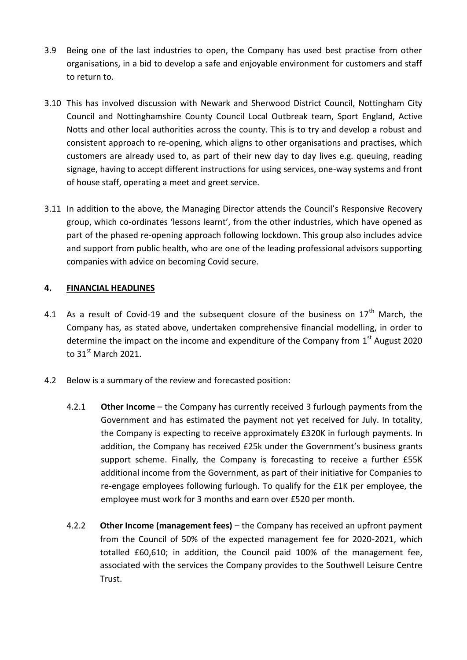- 3.9 Being one of the last industries to open, the Company has used best practise from other organisations, in a bid to develop a safe and enjoyable environment for customers and staff to return to.
- 3.10 This has involved discussion with Newark and Sherwood District Council, Nottingham City Council and Nottinghamshire County Council Local Outbreak team, Sport England, Active Notts and other local authorities across the county. This is to try and develop a robust and consistent approach to re-opening, which aligns to other organisations and practises, which customers are already used to, as part of their new day to day lives e.g. queuing, reading signage, having to accept different instructions for using services, one-way systems and front of house staff, operating a meet and greet service.
- 3.11 In addition to the above, the Managing Director attends the Council's Responsive Recovery group, which co-ordinates 'lessons learnt', from the other industries, which have opened as part of the phased re-opening approach following lockdown. This group also includes advice and support from public health, who are one of the leading professional advisors supporting companies with advice on becoming Covid secure.

### **4. FINANCIAL HEADLINES**

- 4.1 As a result of Covid-19 and the subsequent closure of the business on  $17<sup>th</sup>$  March, the Company has, as stated above, undertaken comprehensive financial modelling, in order to determine the impact on the income and expenditure of the Company from  $1<sup>st</sup>$  August 2020 to  $31<sup>st</sup>$  March 2021.
- 4.2 Below is a summary of the review and forecasted position:
	- 4.2.1 **Other Income** the Company has currently received 3 furlough payments from the Government and has estimated the payment not yet received for July. In totality, the Company is expecting to receive approximately £320K in furlough payments. In addition, the Company has received £25k under the Government's business grants support scheme. Finally, the Company is forecasting to receive a further £55K additional income from the Government, as part of their initiative for Companies to re-engage employees following furlough. To qualify for the £1K per employee, the employee must work for 3 months and earn over £520 per month.
	- 4.2.2 **Other Income (management fees)** the Company has received an upfront payment from the Council of 50% of the expected management fee for 2020-2021, which totalled £60,610; in addition, the Council paid 100% of the management fee, associated with the services the Company provides to the Southwell Leisure Centre Trust.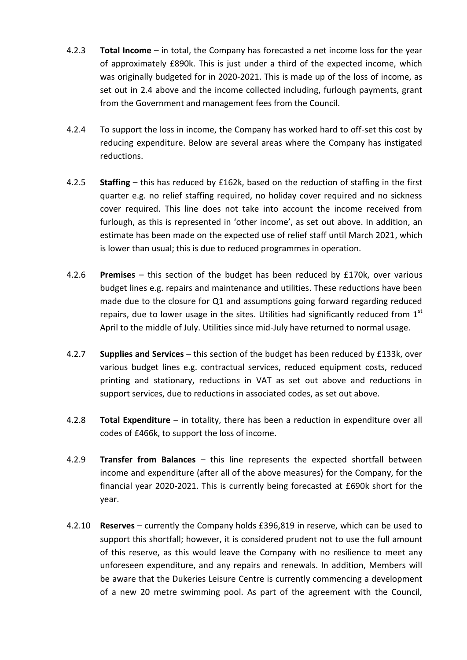- 4.2.3 **Total Income** in total, the Company has forecasted a net income loss for the year of approximately £890k. This is just under a third of the expected income, which was originally budgeted for in 2020-2021. This is made up of the loss of income, as set out in 2.4 above and the income collected including, furlough payments, grant from the Government and management fees from the Council.
- 4.2.4 To support the loss in income, the Company has worked hard to off-set this cost by reducing expenditure. Below are several areas where the Company has instigated reductions.
- 4.2.5 **Staffing**  this has reduced by £162k, based on the reduction of staffing in the first quarter e.g. no relief staffing required, no holiday cover required and no sickness cover required. This line does not take into account the income received from furlough, as this is represented in 'other income', as set out above. In addition, an estimate has been made on the expected use of relief staff until March 2021, which is lower than usual; this is due to reduced programmes in operation.
- 4.2.6 **Premises**  this section of the budget has been reduced by £170k, over various budget lines e.g. repairs and maintenance and utilities. These reductions have been made due to the closure for Q1 and assumptions going forward regarding reduced repairs, due to lower usage in the sites. Utilities had significantly reduced from  $1<sup>st</sup>$ April to the middle of July. Utilities since mid-July have returned to normal usage.
- 4.2.7 **Supplies and Services** this section of the budget has been reduced by £133k, over various budget lines e.g. contractual services, reduced equipment costs, reduced printing and stationary, reductions in VAT as set out above and reductions in support services, due to reductions in associated codes, as set out above.
- 4.2.8 **Total Expenditure** in totality, there has been a reduction in expenditure over all codes of £466k, to support the loss of income.
- 4.2.9 **Transfer from Balances** this line represents the expected shortfall between income and expenditure (after all of the above measures) for the Company, for the financial year 2020-2021. This is currently being forecasted at £690k short for the year.
- 4.2.10 **Reserves** currently the Company holds £396,819 in reserve, which can be used to support this shortfall; however, it is considered prudent not to use the full amount of this reserve, as this would leave the Company with no resilience to meet any unforeseen expenditure, and any repairs and renewals. In addition, Members will be aware that the Dukeries Leisure Centre is currently commencing a development of a new 20 metre swimming pool. As part of the agreement with the Council,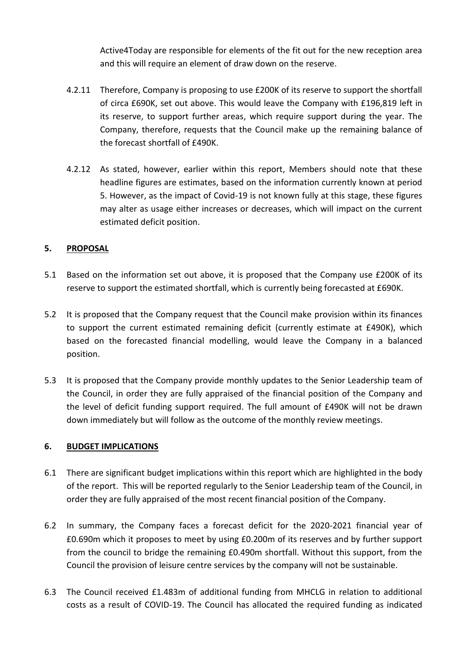Active4Today are responsible for elements of the fit out for the new reception area and this will require an element of draw down on the reserve.

- 4.2.11 Therefore, Company is proposing to use £200K of its reserve to support the shortfall of circa £690K, set out above. This would leave the Company with £196,819 left in its reserve, to support further areas, which require support during the year. The Company, therefore, requests that the Council make up the remaining balance of the forecast shortfall of £490K.
- 4.2.12 As stated, however, earlier within this report, Members should note that these headline figures are estimates, based on the information currently known at period 5. However, as the impact of Covid-19 is not known fully at this stage, these figures may alter as usage either increases or decreases, which will impact on the current estimated deficit position.

# **5. PROPOSAL**

- 5.1 Based on the information set out above, it is proposed that the Company use £200K of its reserve to support the estimated shortfall, which is currently being forecasted at £690K.
- 5.2 It is proposed that the Company request that the Council make provision within its finances to support the current estimated remaining deficit (currently estimate at £490K), which based on the forecasted financial modelling, would leave the Company in a balanced position.
- 5.3 It is proposed that the Company provide monthly updates to the Senior Leadership team of the Council, in order they are fully appraised of the financial position of the Company and the level of deficit funding support required. The full amount of £490K will not be drawn down immediately but will follow as the outcome of the monthly review meetings.

### **6. BUDGET IMPLICATIONS**

- 6.1 There are significant budget implications within this report which are highlighted in the body of the report. This will be reported regularly to the Senior Leadership team of the Council, in order they are fully appraised of the most recent financial position of the Company.
- 6.2 In summary, the Company faces a forecast deficit for the 2020-2021 financial year of £0.690m which it proposes to meet by using £0.200m of its reserves and by further support from the council to bridge the remaining £0.490m shortfall. Without this support, from the Council the provision of leisure centre services by the company will not be sustainable.
- 6.3 The Council received £1.483m of additional funding from MHCLG in relation to additional costs as a result of COVID-19. The Council has allocated the required funding as indicated